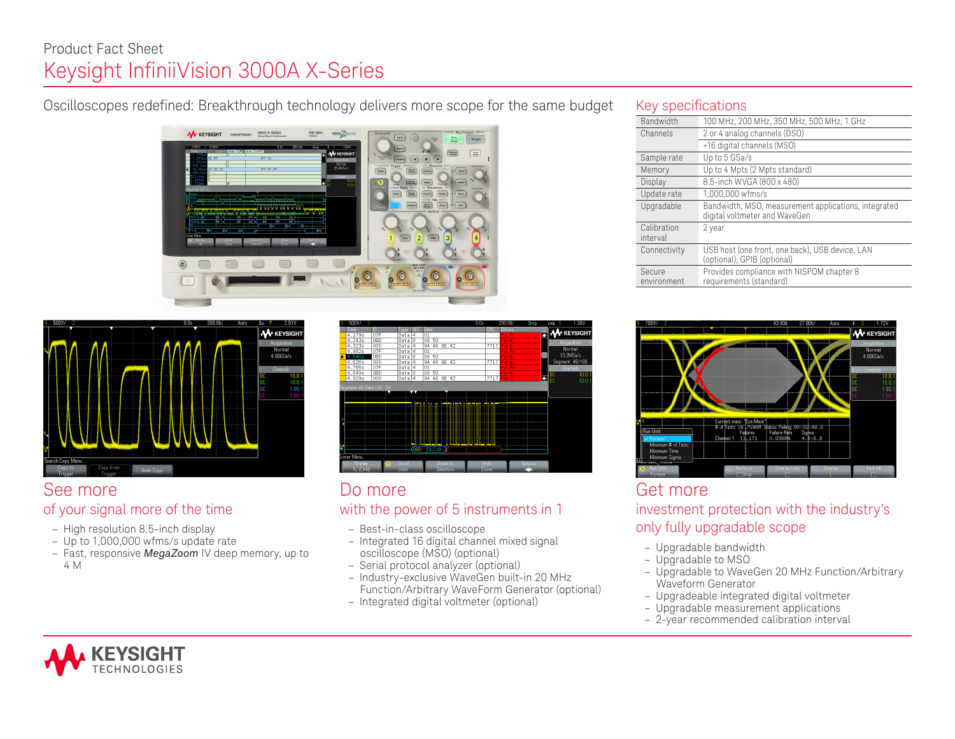# Product Fact Sheet Keysight InfiniiVision 3000A X-Series

## Oscilloscopes redefined: Breakthrough technology delivers more scope for the same budget





### See more of your signal more of the time

- High resolution 8.5-inch display
- Up to 1,000,000 wfms/s update rate
- Fast, responsive *MegaZoom* IV deep memory, up to 4 M



### Do more with the power of 5 instruments in 1

- Best-in-class oscilloscope
- Integrated 16 digital channel mixed signal oscilloscope (MSO) (optional)
- Serial protocol analyzer (optional)
- Industry-exclusive WaveGen built-in 20 MHz Function/Arbitrary WaveForm Generator (optional)
- Integrated digital voltmeter (optional)

### Key specifications

| Bandwidth               | 100 MHz, 200 MHz, 350 MHz, 500 MHz, 1 GHz                                             |
|-------------------------|---------------------------------------------------------------------------------------|
| Channels                | 2 or 4 analog channels (DSO)                                                          |
|                         | +16 digital channels (MSO)                                                            |
| Sample rate             | Up to 5 GSa/s                                                                         |
| Memory                  | Up to 4 Mpts (2 Mpts standard)                                                        |
| Display                 | 8.5-inch WVGA (800 x 480)                                                             |
| Update rate             | 1,000,000 wfms/s                                                                      |
| Upgradable              | Bandwidth, MSO, measurement applications, integrated<br>digital voltmeter and WaveGen |
| Calibration<br>interval | 2 year                                                                                |
| Connectivity            | USB host (one front, one back), USB device, LAN<br>(optional), GPIB (optional)        |
| Secure<br>environment   | Provides compliance with NISPOM chapter 8<br>requirements (standard)                  |



# Get more investment protection with the industry's only fully upgradable scope

- Upgradable bandwidth
- Upgradable to MSO
- Upgradable to WaveGen 20 MHz Function/Arbitrary Waveform Generator
- Upgradeable integrated digital voltmeter
- Upgradable measurement applications
- 2-year recommended calibration interval